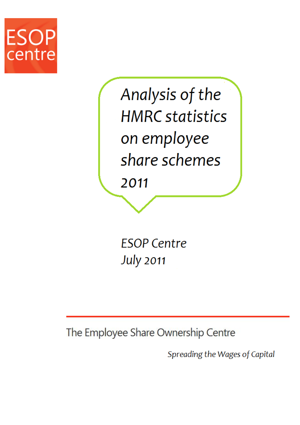

Analysis of the **HMRC** statistics on employee share schemes

2011

**ESOP Centre July 2011** 

The Employee Share Ownership Centre

Spreading the Wages of Capital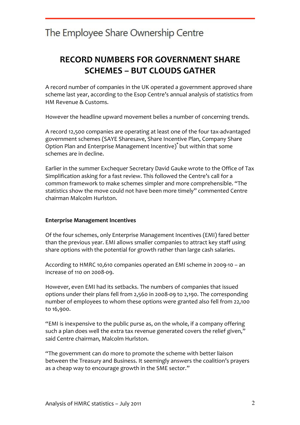### RECORD NUMBERS FOR GOVERNMENT SHARE SCHEMES – BUT CLOUDS GATHER

A record number of companies in the UK operated a government approved share scheme last year, according to the Esop Centre's annual analysis of statistics from HM Revenue & Customs.

However the headline upward movement belies a number of concerning trends.

A record 12,500 companies are operating at least one of the four tax-advantaged government schemes (SAYE Sharesave, Share Incentive Plan, Company Share Option Plan and Enterprise Management Incentive)\* but within that some schemes are in decline.

Earlier in the summer Exchequer Secretary David Gauke wrote to the Office of Tax Simplification asking for a fast review. This followed the Centre's call for a common framework to make schemes simpler and more comprehensible. "The statistics show the move could not have been more timely" commented Centre chairman Malcolm Hurlston.

#### Enterprise Management Incentives

Of the four schemes, only Enterprise Management Incentives (EMI) fared better than the previous year. EMI allows smaller companies to attract key staff using share options with the potential for growth rather than large cash salaries.

According to HMRC 10,610 companies operated an EMI scheme in 2009-10 – an increase of 110 on 2008-09.

However, even EMI had its setbacks. The numbers of companies that issued options under their plans fell from 2,560 in 2008-09 to 2,190. The corresponding number of employees to whom these options were granted also fell from 22,100 to 16,900.

"EMI is inexpensive to the public purse as, on the whole, if a company offering such a plan does well the extra tax revenue generated covers the relief given," said Centre chairman, Malcolm Hurlston.

"The government can do more to promote the scheme with better liaison between the Treasury and Business. It seemingly answers the coalition's prayers as a cheap way to encourage growth in the SME sector."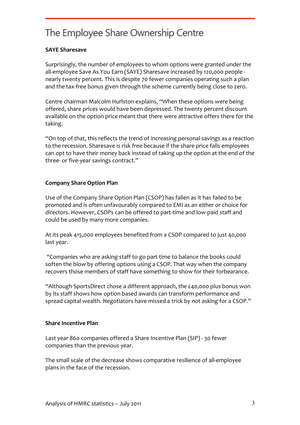### SAYE Sharesave

Surprisingly, the number of employees to whom options were granted under the all-employee Save As You Earn (SAYE) Sharesave increased by 120,000 people nearly twenty percent. This is despite 70 fewer companies operating such a plan and the tax-free bonus given through the scheme currently being close to zero.

Centre chairman Malcolm Hurlston explains, "When these options were being offered, share prices would have been depressed. The twenty percent discount available on the option price meant that there were attractive offers there for the taking.

"On top of that, this reflects the trend of increasing personal savings as a reaction to the recession. Sharesave is risk free because if the share price falls employees can opt to have their money back instead of taking up the option at the end of the three- or five-year savings contract."

### Company Share Option Plan

Use of the Company Share Option Plan (CSOP) has fallen as it has failed to be promoted and is often unfavourably compared to EMI as an either or choice for directors. However, CSOPs can be offered to part-time and low-paid staff and could be used by many more companies.

At its peak 415,000 employees benefited from a CSOP compared to just 40,000 last year.

 "Companies who are asking staff to go part time to balance the books could soften the blow by offering options using a CSOP. That way when the company recovers those members of staff have something to show for their forbearance.

"Although SportsDirect chose a different approach, the £40,000 plus bonus won by its staff shows how option based awards can transform performance and spread capital wealth. Negotiators have missed a trick by not asking for a CSOP."

#### Share Incentive Plan

Last year 860 companies offered a Share Incentive Plan (SIP) - 30 fewer companies than the previous year.

The small scale of the decrease shows comparative resilience of all-employee plans in the face of the recession.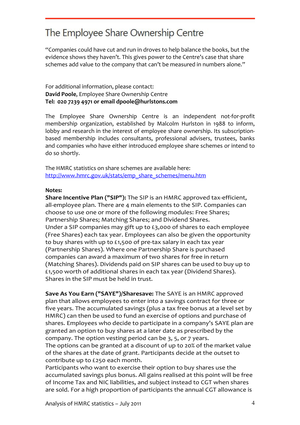"Companies could have cut and run in droves to help balance the books, but the evidence shows they haven't. This gives power to the Centre's case that share schemes add value to the company that can't be measured in numbers alone."

#### For additional information, please contact: David Poole, Employee Share Ownership Centre Tel: 020 7239 4971 or email dpoole@hurlstons.com

The Employee Share Ownership Centre is an independent not-for-profit membership organization, established by Malcolm Hurlston in 1988 to inform, lobby and research in the interest of employee share ownership. Its subscriptionbased membership includes consultants, professional advisers, trustees, banks and companies who have either introduced employee share schemes or intend to do so shortly.

The HMRC statistics on share schemes are available here: http://www.hmrc.gov.uk/stats/emp\_share\_schemes/menu.htm

#### Notes:

Share Incentive Plan ("SIP"): The SIP is an HMRC approved tax-efficient, all-employee plan. There are 4 main elements to the SIP. Companies can choose to use one or more of the following modules: Free Shares; Partnership Shares; Matching Shares; and Dividend Shares. Under a SIP companies may gift up to £3,000 of shares to each employee (Free Shares) each tax year. Employees can also be given the opportunity to buy shares with up to £1,500 of pre-tax salary in each tax year (Partnership Shares). Where one Partnership Share is purchased companies can award a maximum of two shares for free in return (Matching Shares). Dividends paid on SIP shares can be used to buy up to £1,500 worth of additional shares in each tax year (Dividend Shares). Shares in the SIP must be held in trust.

Save As You Earn ("SAYE")/Sharesave: The SAYE is an HMRC approved plan that allows employees to enter into a savings contract for three or five years. The accumulated savings (plus a tax free bonus at a level set by HMRC) can then be used to fund an exercise of options and purchase of shares. Employees who decide to participate in a company's SAYE plan are granted an option to buy shares at a later date as prescribed by the company. The option vesting period can be 3, 5, or 7 years.

The options can be granted at a discount of up to 20% of the market value of the shares at the date of grant. Participants decide at the outset to contribute up to £250 each month.

Participants who want to exercise their option to buy shares use the accumulated savings plus bonus. All gains realised at this point will be free of Income Tax and NIC liabilities, and subject instead to CGT when shares are sold. For a high proportion of participants the annual CGT allowance is